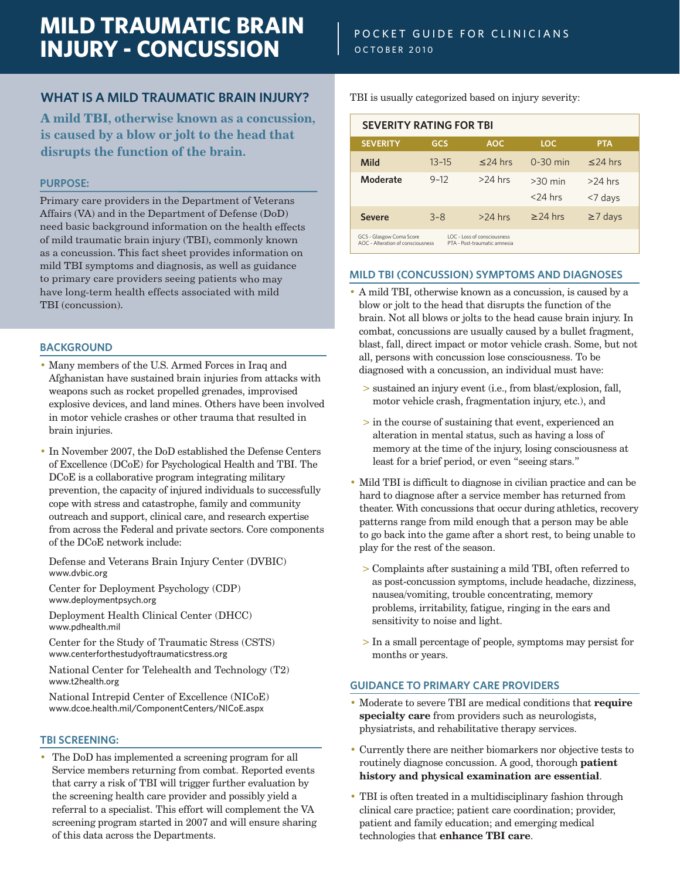# **MILD TRAUMATIC BRAIN INJURY - CONCUSSION**

# **WHAT IS A MILD TRAUMATIC BRAIN INJURY?**

**A mild TBI, otherwise known as a concussion, is caused by a blow or jolt to the head that disrupts the function of the brain.**

# **PURPOSE:**

Primary care providers in the Department of Veterans Affairs (VA) and in the Department of Defense (DoD) need basic background information on the health effects of mild traumatic brain injury (TBI), commonly known as a concussion. This fact sheet provides information on mild TBI symptoms and diagnosis, as well as guidance to primary care providers seeing patients who may have long-term health effects associated with mild TBI (concussion).

# **BACKGROUND**

- Many members of the U.S. Armed Forces in Iraq and Afghanistan have sustained brain injuries from attacks with weapons such as rocket propelled grenades, improvised explosive devices, and land mines. Others have been involved in motor vehicle crashes or other trauma that resulted in brain injuries.
- In November 2007, the DoD established the Defense Centers of Excellence (DCoE) for Psychological Health and TBI. The DCoE is a collaborative program integrating military prevention, the capacity of injured individuals to successfully cope with stress and catastrophe, family and community outreach and support, clinical care, and research expertise from across the Federal and private sectors. Core components of the DCoE network include:

Defense and Veterans Brain Injury Center (DVBIC) www.dvbic.org

Center for Deployment Psychology (CDP) www.deploymentpsych.org

Deployment Health Clinical Center (DHCC) www.pdhealth.mil

Center for the Study of Traumatic Stress (CSTS) www.centerforthestudyoftraumaticstress.org

National Center for Telehealth and Technology (T2) www.t2health.org

National Intrepid Center of Excellence (NICoE) www.dcoe.health.mil/ComponentCenters/NICoE.aspx

#### **TBI SCREENING:**

• The DoD has implemented a screening program for all Service members returning from combat. Reported events that carry a risk of TBI will trigger further evaluation by the screening health care provider and possibly yield a referral to a specialist. This effort will complement the VA screening program started in 2007 and will ensure sharing of this data across the Departments.

TBI is usually categorized based on injury severity:

| <b>SEVERITY RATING FOR TBI</b>                                                                                               |           |            |            |               |
|------------------------------------------------------------------------------------------------------------------------------|-----------|------------|------------|---------------|
| <b>SEVERITY</b>                                                                                                              | GCS       | <b>AOC</b> | <b>LOC</b> | <b>PTA</b>    |
| <b>Mild</b>                                                                                                                  | $13 - 15$ | $<$ 24 hrs | $0-30$ min | $\leq$ 24 hrs |
| Moderate                                                                                                                     | $9 - 12$  | $>24$ hrs  | $>30$ min  | $>24$ hrs     |
|                                                                                                                              |           |            | $<$ 24 hrs | <7 days       |
| <b>Severe</b>                                                                                                                | $3 - 8$   | $>24$ hrs  | $>$ 24 hrs | $\geq$ 7 days |
| LOC - Loss of consciousness<br>GCS - Glasgow Coma Score<br>AOC - Alteration of consciousness<br>PTA - Post-traumatic amnesia |           |            |            |               |

#### **MILD TBI (CONCUSSION) SYMPTOMS AND DIAGNOSES**

- A mild TBI, otherwise known as a concussion, is caused by a blow or jolt to the head that disrupts the function of the brain. Not all blows or jolts to the head cause brain injury. In combat, concussions are usually caused by a bullet fragment, blast, fall, direct impact or motor vehicle crash. Some, but not all, persons with concussion lose consciousness. To be diagnosed with a concussion, an individual must have:
	- > sustained an injury event (i.e., from blast/explosion, fall, motor vehicle crash, fragmentation injury, etc.), and
	- > in the course of sustaining that event, experienced an alteration in mental status, such as having a loss of memory at the time of the injury, losing consciousness at least for a brief period, or even "seeing stars."
- Mild TBI is difficult to diagnose in civilian practice and can be hard to diagnose after a service member has returned from theater. With concussions that occur during athletics, recovery patterns range from mild enough that a person may be able to go back into the game after a short rest, to being unable to play for the rest of the season.
	- > Complaints after sustaining a mild TBI, often referred to as post-concussion symptoms, include headache, dizziness, nausea/vomiting, trouble concentrating, memory problems, irritability, fatigue, ringing in the ears and sensitivity to noise and light.
	- > In a small percentage of people, symptoms may persist for months or years.

#### **GUIDANCE TO PRIMARY CARE PROVIDERS**

- Moderate to severe TBI are medical conditions that **require specialty care** from providers such as neurologists, physiatrists, and rehabilitative therapy services.
- Currently there are neither biomarkers nor objective tests to routinely diagnose concussion. A good, thorough **patient history and physical examination are essential**.
- TBI is often treated in a multidisciplinary fashion through clinical care practice; patient care coordination; provider, patient and family education; and emerging medical technologies that **enhance TBI care**.